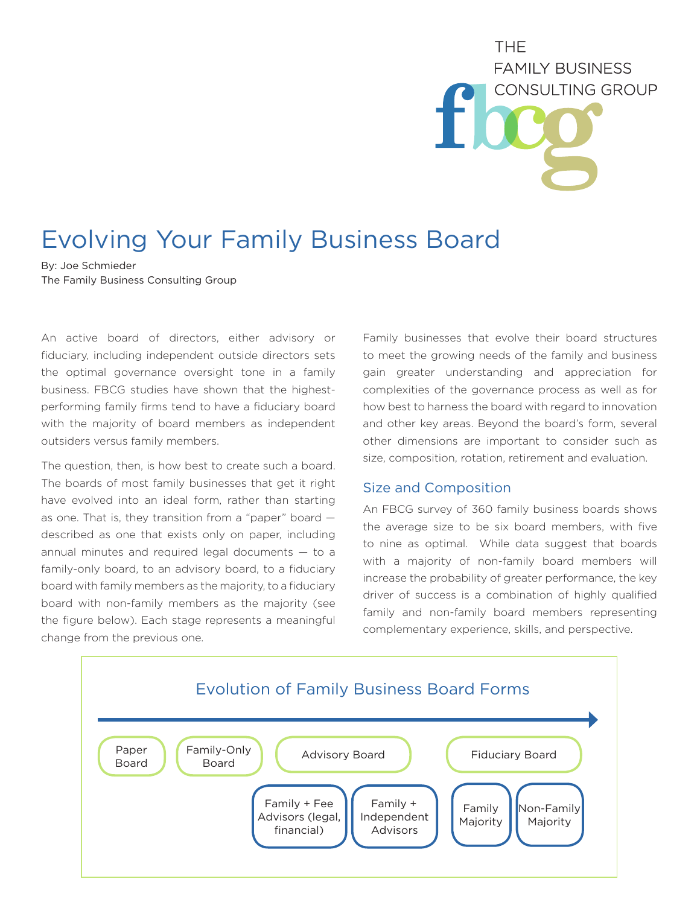**THF FAMILY BUSINESS CONSULTING GROUP** 

## Evolving Your Family Business Board

By: Joe Schmieder The Family Business Consulting Group

An active board of directors, either advisory or fiduciary, including independent outside directors sets the optimal governance oversight tone in a family business. FBCG studies have shown that the highestperforming family firms tend to have a fiduciary board with the majority of board members as independent outsiders versus family members.

The question, then, is how best to create such a board. The boards of most family businesses that get it right have evolved into an ideal form, rather than starting as one. That is, they transition from a "paper" board described as one that exists only on paper, including annual minutes and required legal documents  $-$  to a family-only board, to an advisory board, to a fiduciary board with family members as the majority, to a fiduciary board with non-family members as the majority (see the figure below). Each stage represents a meaningful change from the previous one.

Family businesses that evolve their board structures to meet the growing needs of the family and business gain greater understanding and appreciation for complexities of the governance process as well as for how best to harness the board with regard to innovation and other key areas. Beyond the board's form, several other dimensions are important to consider such as size, composition, rotation, retirement and evaluation.

## Size and Composition

An FBCG survey of 360 family business boards shows the average size to be six board members, with five to nine as optimal. While data suggest that boards with a majority of non-family board members will increase the probability of greater performance, the key driver of success is a combination of highly qualified family and non-family board members representing complementary experience, skills, and perspective.

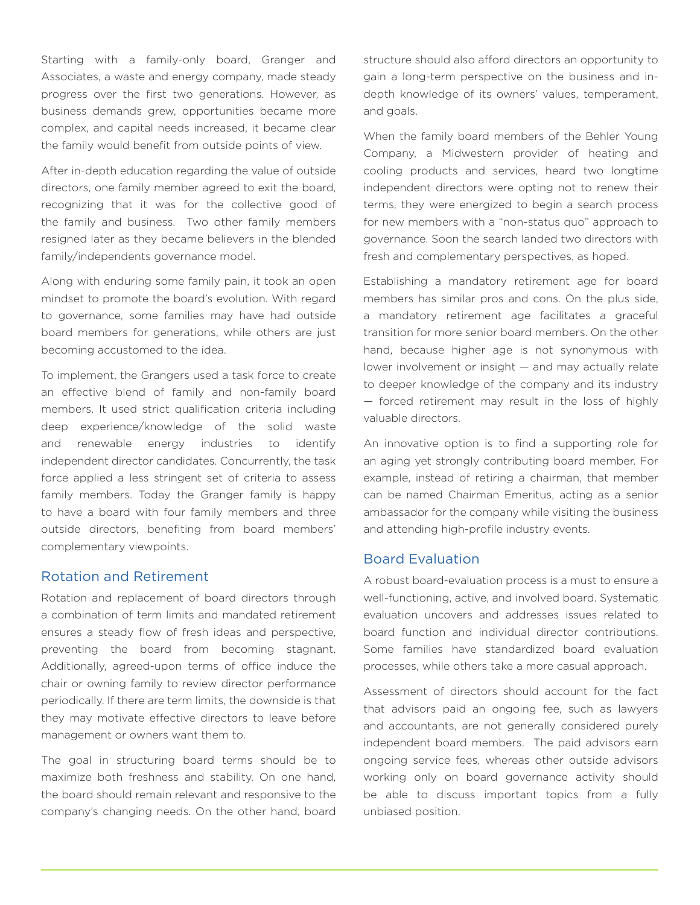Starting with a family-only board, Granger and Associates, a waste and energy company, made steady progress over the first two generations. However, as business demands grew, opportunities became more complex, and capital needs increased, it became clear the family would benefit from outside points of view.

After in-depth education regarding the value of outside directors, one family member agreed to exit the board, recognizing that it was for the collective good of the family and business. Two other family members resigned later as they became believers in the blended family/independents governance model.

Along with enduring some family pain, it took an open mindset to promote the board's evolution. With regard to governance, some families may have had outside board members for generations, while others are just becoming accustomed to the idea.

To implement, the Grangers used a task force to create an effective blend of family and non-family board members. It used strict qualification criteria including deep experience/knowledge of the solid waste and renewable energy industries to identify independent director candidates. Concurrently, the task force applied a less stringent set of criteria to assess family members. Today the Granger family is happy to have a board with four family members and three outside directors, benefiting from board members' complementary viewpoints.

## Rotation and Retirement

Rotation and replacement of board directors through a combination of term limits and mandated retirement ensures a steady flow of fresh ideas and perspective, preventing the board from becoming stagnant. Additionally, agreed-upon terms of office induce the chair or owning family to review director performance periodically. If there are term limits, the downside is that they may motivate effective directors to leave before management or owners want them to.

The goal in structuring board terms should be to maximize both freshness and stability. On one hand, the board should remain relevant and responsive to the company's changing needs. On the other hand, board structure should also afford directors an opportunity to gain a long-term perspective on the business and indepth knowledge of its owners' values, temperament, and goals.

When the family board members of the Behler Young Company, a Midwestern provider of heating and cooling products and services, heard two longtime independent directors were opting not to renew their terms, they were energized to begin a search process for new members with a "non-status quo" approach to governance. Soon the search landed two directors with fresh and complementary perspectives, as hoped.

Establishing a mandatory retirement age for board members has similar pros and cons. On the plus side, a mandatory retirement age facilitates a graceful transition for more senior board members. On the other hand, because higher age is not synonymous with lower involvement or insight — and may actually relate to deeper knowledge of the company and its industry — forced retirement may result in the loss of highly valuable directors.

An innovative option is to find a supporting role for an aging yet strongly contributing board member. For example, instead of retiring a chairman, that member can be named Chairman Emeritus, acting as a senior ambassador for the company while visiting the business and attending high-profile industry events.

## Board Evaluation

A robust board-evaluation process is a must to ensure a well-functioning, active, and involved board. Systematic evaluation uncovers and addresses issues related to board function and individual director contributions. Some families have standardized board evaluation processes, while others take a more casual approach.

Assessment of directors should account for the fact that advisors paid an ongoing fee, such as lawyers and accountants, are not generally considered purely independent board members. The paid advisors earn ongoing service fees, whereas other outside advisors working only on board governance activity should be able to discuss important topics from a fully unbiased position.